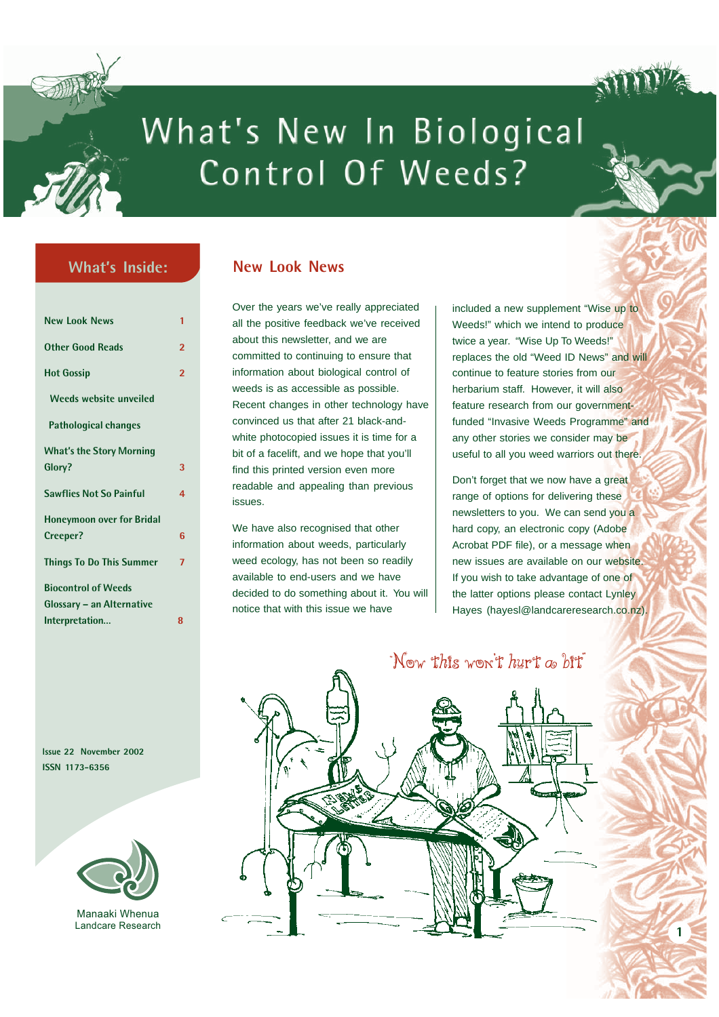

# What's New In Biological Control Of Weeds?

## **What's Inside:**

| <b>New Look News</b>             | 1              |
|----------------------------------|----------------|
| <b>Other Good Reads</b>          | $\overline{2}$ |
| <b>Hot Gossip</b>                | 2              |
| Weeds website unveiled           |                |
| Pathological changes             |                |
| <b>What's the Story Morning</b>  |                |
| Glory?                           | 3              |
| <b>Sawflies Not So Painful</b>   | 4              |
| <b>Honeymoon over for Bridal</b> |                |
| Creeper?                         | 6              |
| <b>Things To Do This Summer</b>  | 7              |
| <b>Biocontrol of Weeds</b>       |                |
| Glossary – an Alternative        |                |
| Interpretation                   | 8              |

**Issue 22 November 2002 ISSN 1173-6356**



Manaaki Whenua Landcare Research

#### **New Look News**

Over the years we've really appreciated all the positive feedback we've received about this newsletter, and we are committed to continuing to ensure that information about biological control of weeds is as accessible as possible. Recent changes in other technology have convinced us that after 21 black-andwhite photocopied issues it is time for a bit of a facelift, and we hope that you'll find this printed version even more readable and appealing than previous issues.

We have also recognised that other information about weeds, particularly weed ecology, has not been so readily available to end-users and we have decided to do something about it. You will notice that with this issue we have

included a new supplement "Wise up to Weeds!" which we intend to produce twice a year. "Wise Up To Weeds!" replaces the old "Weed ID News" and will continue to feature stories from our herbarium staff. However, it will also feature research from our governmentfunded "Invasive Weeds Programme" and any other stories we consider may be useful to all you weed warriors out there.

Don't forget that we now have a great range of options for delivering these newsletters to you. We can send you a hard copy, an electronic copy (Adobe Acrobat PDF file), or a message when new issues are available on our website. If you wish to take advantage of one of the latter options please contact Lynley Hayes (hayesl@landcareresearch.co.nz)

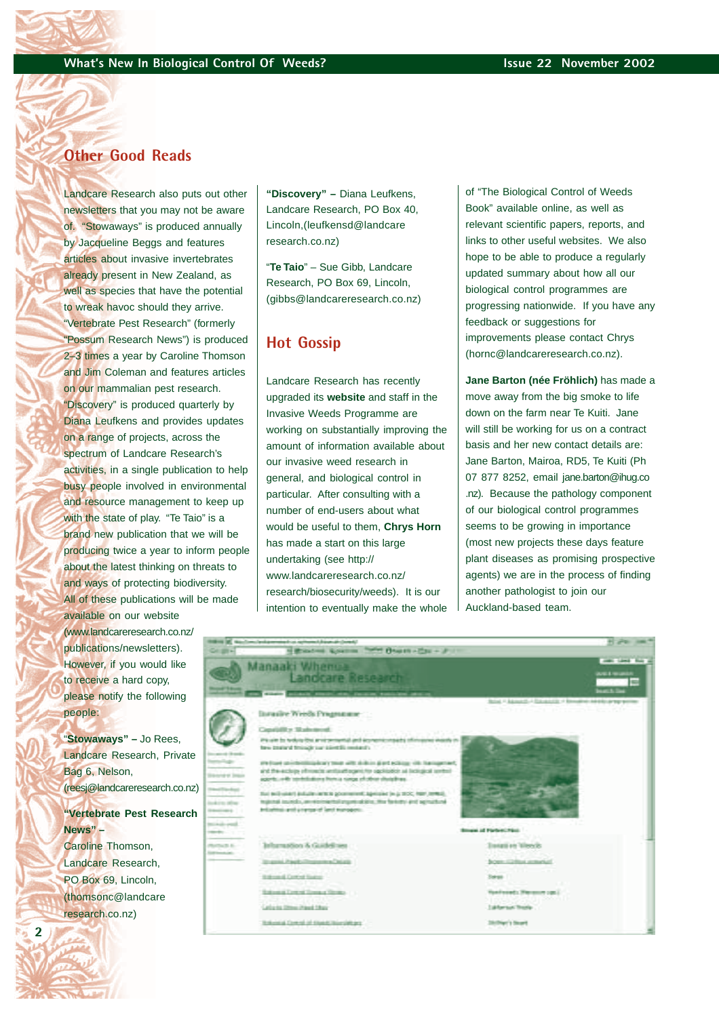## **Other Good Reads**

Landcare Research also puts out other newsletters that you may not be aware of. "Stowaways" is produced annually by Jacqueline Beggs and features articles about invasive invertebrates already present in New Zealand, as well as species that have the potential to wreak havoc should they arrive. "Vertebrate Pest Research" (formerly "Possum Research News") is produced 2–3 times a year by Caroline Thomson and Jim Coleman and features articles on our mammalian pest research. "Discovery" is produced quarterly by Diana Leufkens and provides updates on a range of projects, across the spectrum of Landcare Research's activities, in a single publication to help busy people involved in environmental and resource management to keep up with the state of play. "Te Taio" is a brand new publication that we will be producing twice a year to inform people about the latest thinking on threats to and ways of protecting biodiversity. All of these publications will be made

available on our website (www.landcareresearch.co.nz/ publications/newsletters). However, if you would like to receive a hard copy, please notify the following people:

"**Stowaways" –** Jo Rees, Landcare Research, Private Bag 6, Nelson, [\(reesj@landcareresearch.co.nz\)](mailto:reesj@landcareresearch.co.nz) **"Vertebrate Pest Research**

## **News" –**

Caroline Thomson, Landcare Research, PO Box 69, Lincoln, [\(thomsonc@landcare](mailto:thomsonc@landcareresearch.co.nz) research.co.nz)

**2**

**"Discovery" –** Diana Leufkens, Landcare Research, PO Box 40, Lincoln,([leufkensd@landcare](mailto:leufkensd@landcareresearch.co.nz) [research.co.nz\)](mailto:leufkensd@landcareresearch.co.nz)

"**Te Taio**" – Sue Gibb, Landcare Research, PO Box 69, Lincoln, ([gibbs@landcareresearch.co.n](mailto:gibbs@landcareresearch.co.nz)z)

#### **Hot Gossip**

Landcare Research has recently upgraded its **website** and staff in the Invasive Weeds Programme are working on substantially improving the amount of information available about our invasive weed research in general, and biological control in particular. After consulting with a number of end-users about what would be useful to them, **Chrys Horn** has made a start on this large undertaking (see [http://](http://www.landcareresearch.co.nz) [www.landcareresearch.co.nz/](http://www.landcareresearch.co.nz) [research/biosecurity/weeds\).](http://www.landcareresearch.co.nz) It is our intention to eventually make the whole of "The Biological Control of Weeds Book" available online, as well as relevant scientific papers, reports, and links to other useful websites. We also hope to be able to produce a regularly updated summary about how all our biological control programmes are progressing nationwide. If you have any feedback or suggestions for improvements please contact Chrys [\(hornc@landcareresearch.co.nz\).](mailto:hornc@landcareresearch.co.nz)

**Jane Barton (née Fröhlich)** has made a move away from the big smoke to life down on the farm near Te Kuiti. Jane will still be working for us on a contract basis and her new contact details are: Jane Barton, Mairoa, RD5, Te Kuiti (Ph 07 877 8252, email [jane.barton@ihug.co](mailto:jane.barton@ihug.co.nz) [.nz\).](mailto:jane.barton@ihug.co.nz) Because the pathology component of our biological control programmes seems to be growing in importance (most new projects these days feature plant diseases as promising prospective agents) we are in the process of finding another pathologist to join our Auckland-based team.

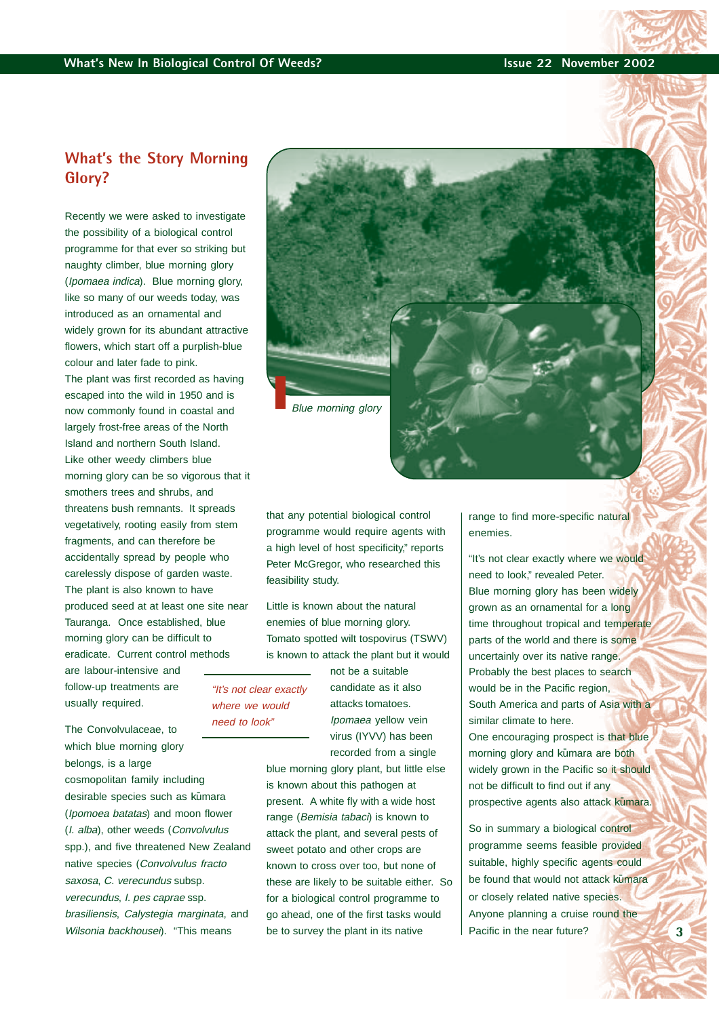## **What's the Story Morning Glory?**

Recently we were asked to investigate the possibility of a biological control programme for that ever so striking but naughty climber, blue morning glory (Ipomaea indica). Blue morning glory, like so many of our weeds today, was introduced as an ornamental and widely grown for its abundant attractive flowers, which start off a purplish-blue colour and later fade to pink. The plant was first recorded as having escaped into the wild in 1950 and is now commonly found in coastal and largely frost-free areas of the North Island and northern South Island. Like other weedy climbers blue morning glory can be so vigorous that it smothers trees and shrubs, and threatens bush remnants. It spreads vegetatively, rooting easily from stem fragments, and can therefore be accidentally spread by people who carelessly dispose of garden waste. The plant is also known to have produced seed at at least one site near Tauranga. Once established, blue morning glory can be difficult to eradicate. Current control methods are labour-intensive and follow-up treatments are usually required.

The Convolvulaceae, to which blue morning glory belongs, is a large cosmopolitan family including desirable species such as kumara (Ipomoea batatas) and moon flower (I. alba), other weeds (Convolvulus spp.), and five threatened New Zealand native species (Convolvulus fracto saxosa, C. verecundus subsp. verecundus, I. pes caprae ssp. brasiliensis, Calystegia marginata, and Wilsonia backhousei). "This means



that any potential biological control programme would require agents with a high level of host specificity," reports Peter McGregor, who researched this feasibility study.

Little is known about the natural enemies of blue morning glory. Tomato spotted wilt tospovirus (TSWV) is known to attack the plant but it would

"It's not clear exactly where we would need to look"

not be a suitable candidate as it also attacks tomatoes. Ipomaea yellow vein virus (IYVV) has been recorded from a single

blue morning glory plant, but little else is known about this pathogen at present. A white fly with a wide host range (Bemisia tabaci) is known to attack the plant, and several pests of sweet potato and other crops are known to cross over too, but none of these are likely to be suitable either. So for a biological control programme to go ahead, one of the first tasks would be to survey the plant in its native

range to find more-specific natural enemies.

"It's not clear exactly where we would need to look," revealed Peter. Blue morning glory has been widely grown as an ornamental for a long time throughout tropical and temperate parts of the world and there is some uncertainly over its native range. Probably the best places to search would be in the Pacific region. South America and parts of Asia with a similar climate to here. One encouraging prospect is that blue morning glory and kūmara are both widely grown in the Pacific so it should not be difficult to find out if any prospective agents also attack kūmara.

So in summary a biological control programme seems feasible provided suitable, highly specific agents could be found that would not attack kumara or closely related native species. Anyone planning a cruise round the Pacific in the near future?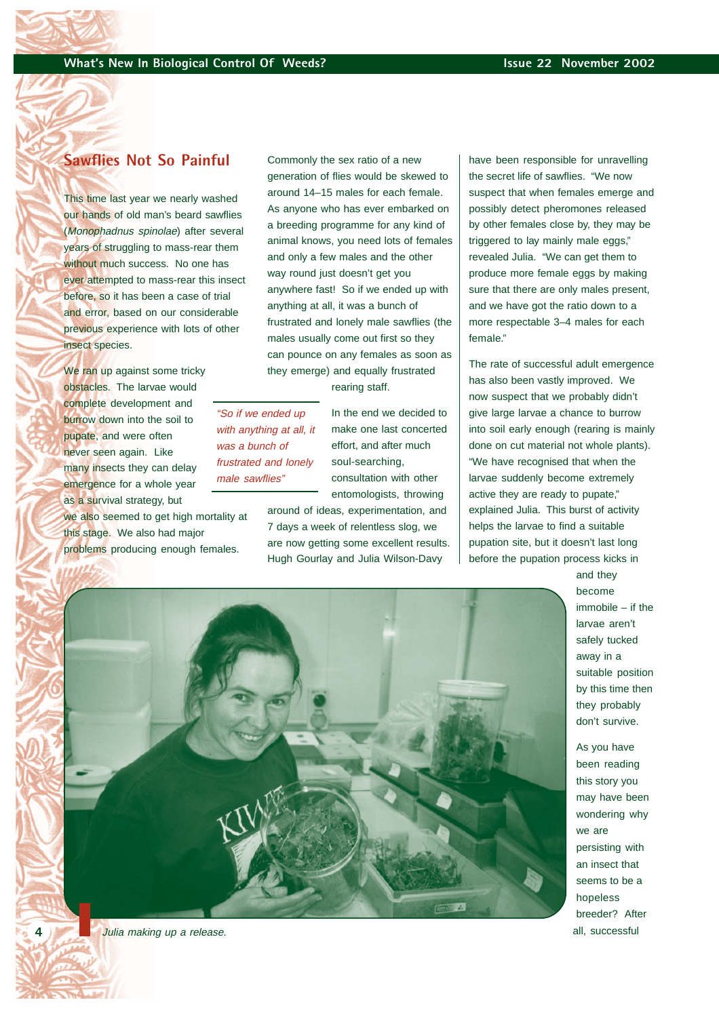## **Sawflies Not So Painful**

This time last year we nearly washed our hands of old man's beard sawflies (Monophadnus spinolae) after several years of struggling to mass-rear them without much success. No one has ever attempted to mass-rear this insect before, so it has been a case of trial and error, based on our considerable previous experience with lots of other insect species.

We ran up against some tricky obstacles. The larvae would complete development and burrow down into the soil to pupate, and were often never seen again. Like many insects they can delay emergence for a whole year as a survival strategy, but we also seemed to get high mortality at this stage. We also had major

problems producing enough females.

Commonly the sex ratio of a new generation of flies would be skewed to around 14–15 males for each female. As anyone who has ever embarked on a breeding programme for any kind of animal knows, you need lots of females and only a few males and the other way round just doesn't get you anywhere fast! So if we ended up with anything at all, it was a bunch of frustrated and lonely male sawflies (the males usually come out first so they can pounce on any females as soon as they emerge) and equally frustrated

rearing staff.

"So if we ended up with anything at all, it was a bunch of frustrated and lonely male sawflies"

In the end we decided to make one last concerted effort, and after much soul-searching, consultation with other entomologists, throwing

around of ideas, experimentation, and 7 days a week of relentless slog, we are now getting some excellent results. Hugh Gourlay and Julia Wilson-Davy

have been responsible for unravelling the secret life of sawflies. "We now suspect that when females emerge and possibly detect pheromones released by other females close by, they may be triggered to lay mainly male eggs," revealed Julia. "We can get them to produce more female eggs by making sure that there are only males present, and we have got the ratio down to a more respectable 3–4 males for each female."

The rate of successful adult emergence has also been vastly improved. We now suspect that we probably didn't give large larvae a chance to burrow into soil early enough (rearing is mainly done on cut material not whole plants). "We have recognised that when the larvae suddenly become extremely active they are ready to pupate," explained Julia. This burst of activity helps the larvae to find a suitable pupation site, but it doesn't last long before the pupation process kicks in

> and they become immobile – if the larvae aren't safely tucked away in a suitable position by this time then they probably don't survive.

As you have been reading this story you may have been wondering why we are persisting with an insect that seems to be a hopeless breeder? After all, successful



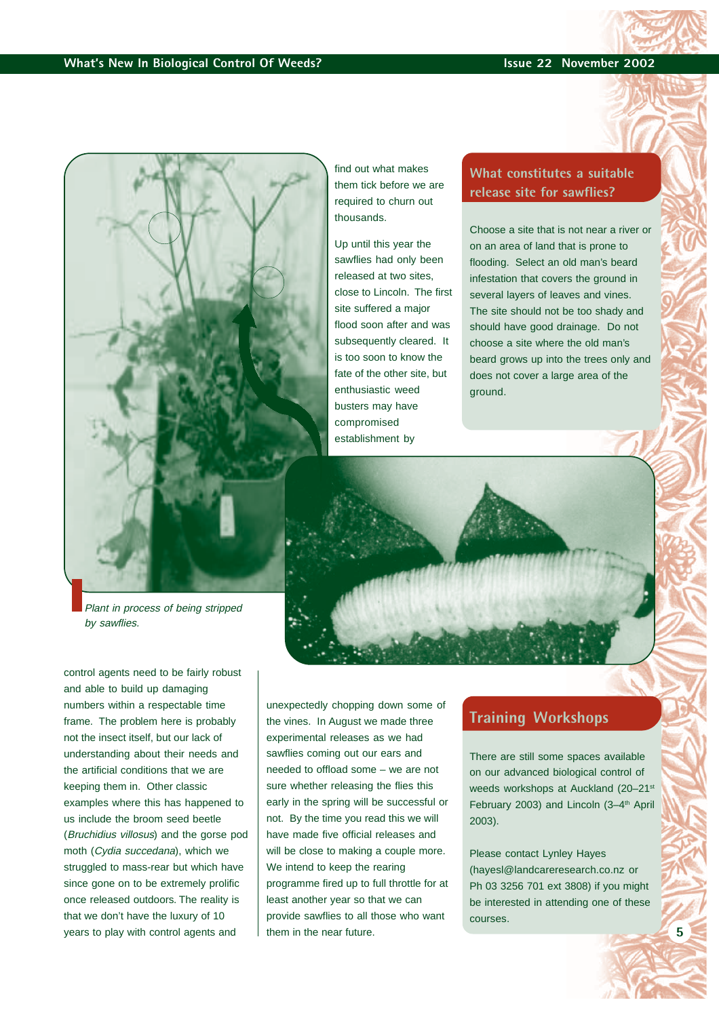

Plant in process of being stripped by sawflies.

control agents need to be fairly robust and able to build up damaging numbers within a respectable time frame. The problem here is probably not the insect itself, but our lack of understanding about their needs and the artificial conditions that we are keeping them in. Other classic examples where this has happened to us include the broom seed beetle (Bruchidius villosus) and the gorse pod moth (Cydia succedana), which we struggled to mass-rear but which have since gone on to be extremely prolific once released outdoors. The reality is that we don't have the luxury of 10 years to play with control agents and

find out what makes them tick before we are required to churn out thousands.

Up until this year the sawflies had only been released at two sites, close to Lincoln. The first site suffered a major flood soon after and was subsequently cleared. It is too soon to know the fate of the other site, but enthusiastic weed busters may have compromised establishment by

#### **What constitutes a suitable release site for sawflies?**

Choose a site that is not near a river or on an area of land that is prone to flooding. Select an old man's beard infestation that covers the ground in several layers of leaves and vines. The site should not be too shady and should have good drainage. Do not choose a site where the old man's beard grows up into the trees only and does not cover a large area of the ground.



unexpectedly chopping down some of the vines. In August we made three experimental releases as we had sawflies coming out our ears and needed to offload some – we are not sure whether releasing the flies this early in the spring will be successful or not. By the time you read this we will have made five official releases and will be close to making a couple more. We intend to keep the rearing programme fired up to full throttle for at least another year so that we can provide sawflies to all those who want them in the near future.

#### **Training Workshops**

There are still some spaces available on our advanced biological control of weeds workshops at Auckland (20-21st February 2003) and Lincoln (3-4<sup>th</sup> April 2003).

Please contact Lynley Hayes [\(hayesl@landcareresearch.co.nz](mailto:hayesl@landcareresearch.co.nz) or Ph 03 3256 701 ext 3808) if you might be interested in attending one of these courses.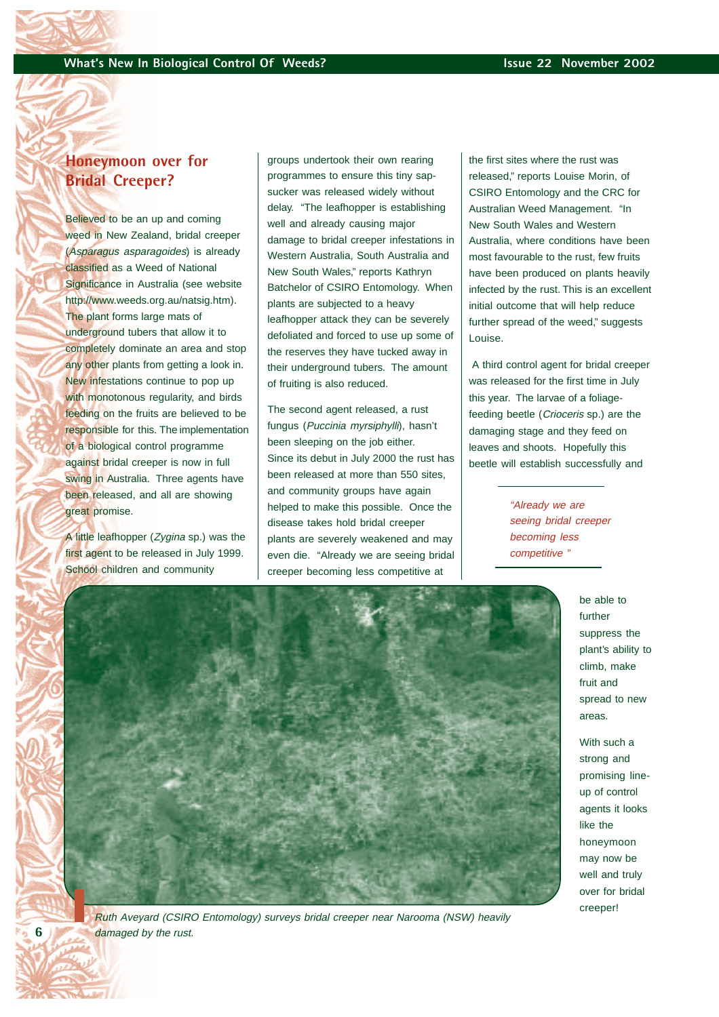## **Honeymoon over for Bridal Creeper?**

Believed to be an up and coming weed in New Zealand, bridal creeper (Asparagus asparagoides) is already classified as a Weed of National Significance in Australia (see website http://www.weeds.org.au/natsig.htm). The plant forms large mats of underground tubers that allow it to completely dominate an area and stop any other plants from getting a look in. New infestations continue to pop up with monotonous regularity, and birds feeding on the fruits are believed to be responsible for this. The implementation of a biological control programme against bridal creeper is now in full swing in Australia. Three agents have been released, and all are showing great promise.

A little leafhopper (Zygina sp.) was the first agent to be released in July 1999. School children and community

**6**

groups undertook their own rearing programmes to ensure this tiny sapsucker was released widely without delay. "The leafhopper is establishing well and already causing major damage to bridal creeper infestations in Western Australia, South Australia and New South Wales," reports Kathryn Batchelor of CSIRO Entomology. When plants are subjected to a heavy leafhopper attack they can be severely defoliated and forced to use up some of the reserves they have tucked away in their underground tubers. The amount of fruiting is also reduced.

The second agent released, a rust fungus (Puccinia myrsiphylli), hasn't been sleeping on the job either. Since its debut in July 2000 the rust has been released at more than 550 sites, and community groups have again helped to make this possible. Once the disease takes hold bridal creeper plants are severely weakened and may even die. "Already we are seeing bridal creeper becoming less competitive at

the first sites where the rust was released," reports Louise Morin, of CSIRO Entomology and the CRC for Australian Weed Management. "In New South Wales and Western Australia, where conditions have been most favourable to the rust, few fruits have been produced on plants heavily infected by the rust. This is an excellent initial outcome that will help reduce further spread of the weed," suggests Louise.

 A third control agent for bridal creeper was released for the first time in July this year. The larvae of a foliagefeeding beetle (Crioceris sp.) are the damaging stage and they feed on leaves and shoots. Hopefully this beetle will establish successfully and

> "Already we are seeing bridal creeper becoming less competitive "

> > be able to further suppress the plant's ability to climb, make fruit and spread to new areas.

With such a strong and promising lineup of control agents it looks like the honeymoon may now be well and truly over for bridal creeper!



Ruth Aveyard (CSIRO Entomology) surveys bridal creeper near Narooma (NSW) heavily damaged by the rust.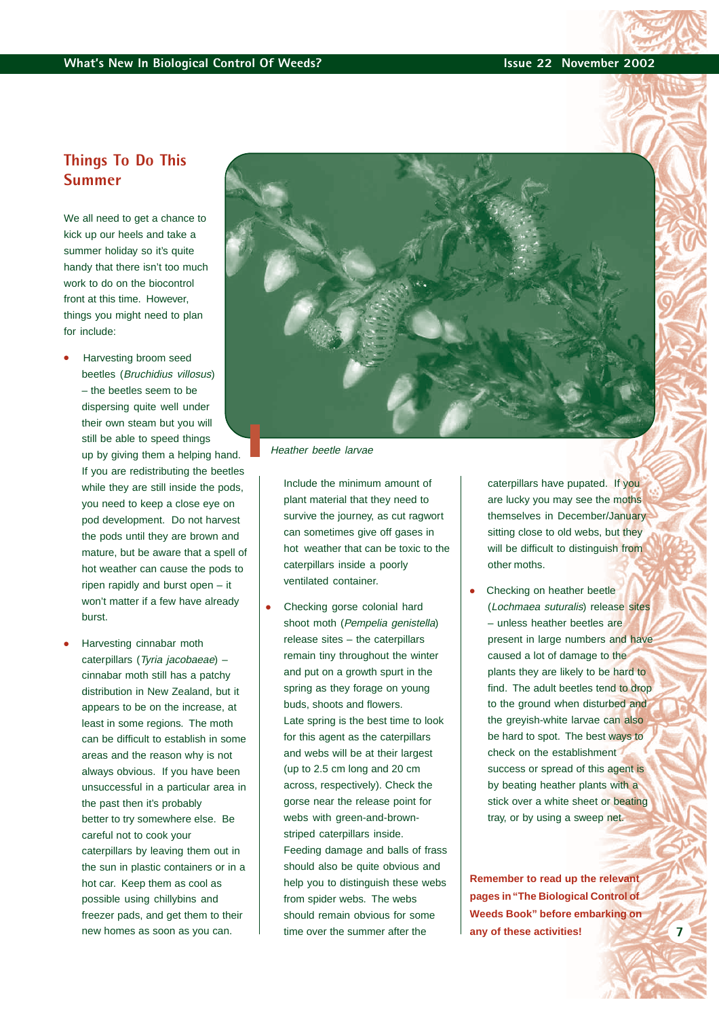## **Things To Do This Summer**

We all need to get a chance to kick up our heels and take a summer holiday so it's quite handy that there isn't too much work to do on the biocontrol front at this time. However, things you might need to plan for include:

- Harvesting broom seed beetles (Bruchidius villosus) – the beetles seem to be dispersing quite well under their own steam but you will still be able to speed things up by giving them a helping hand. If you are redistributing the beetles while they are still inside the pods, you need to keep a close eye on pod development. Do not harvest the pods until they are brown and mature, but be aware that a spell of hot weather can cause the pods to ripen rapidly and burst open – it won't matter if a few have already burst.
- Harvesting cinnabar moth caterpillars (Tyria jacobaeae) – cinnabar moth still has a patchy distribution in New Zealand, but it appears to be on the increase, at least in some regions. The moth can be difficult to establish in some areas and the reason why is not always obvious. If you have been unsuccessful in a particular area in the past then it's probably better to try somewhere else. Be careful not to cook your caterpillars by leaving them out in the sun in plastic containers or in a hot car. Keep them as cool as possible using chillybins and freezer pads, and get them to their new homes as soon as you can.



Heather beetle larvae

Include the minimum amount of plant material that they need to survive the journey, as cut ragwort can sometimes give off gases in hot weather that can be toxic to the caterpillars inside a poorly ventilated container.

Checking gorse colonial hard shoot moth (Pempelia genistella) release sites – the caterpillars remain tiny throughout the winter and put on a growth spurt in the spring as they forage on young buds, shoots and flowers. Late spring is the best time to look for this agent as the caterpillars and webs will be at their largest (up to 2.5 cm long and 20 cm across, respectively). Check the gorse near the release point for webs with green-and-brownstriped caterpillars inside. Feeding damage and balls of frass should also be quite obvious and help you to distinguish these webs from spider webs. The webs should remain obvious for some time over the summer after the

caterpillars have pupated. If you are lucky you may see the moths themselves in December/January sitting close to old webs, but they will be difficult to distinguish from other moths.

Checking on heather beetle (Lochmaea suturalis) release sites – unless heather beetles are present in large numbers and have caused a lot of damage to the plants they are likely to be hard to find. The adult beetles tend to drop to the ground when disturbed and the greyish-white larvae can also be hard to spot. The best ways to check on the establishment success or spread of this agent is by beating heather plants with a stick over a white sheet or beating tray, or by using a sweep net.

**Remember to read up the relevant pages in "The Biological Control of Weeds Book" before embarking on any of these activities!**